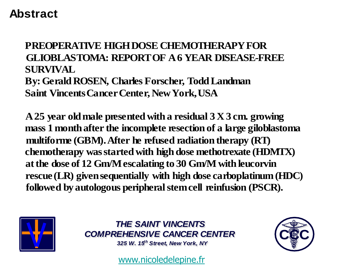#### **Abstract**

#### **PREOPERATIVE HIGH DOSE CHEMOTHERAPY FOR GLIOBLASTOMA: REPORT OF A 6 YEAR DISEASE-FREE SURVIVAL By: Gerald ROSEN, Charles Forscher, Todd Landman Saint Vincents Cancer Center, New York, USA**

**A 25 year old male presented with a residual 3 X 3 cm. growing mass 1 month after the incomplete resection of a large giloblastoma multiforme (GBM). After he refused radiation therapy (RT) chemotherapy was started with high dose methotrexate (HDMTX) at the dose of 12 Gm/M escalating to 30 Gm/M with leucorvin rescue (LR) given sequentially with high dose carboplatinum (HDC) followed by autologous peripheral stem cell reinfusion (PSCR).**



*THE SAINT VINCENTS THE SAINT VINCENTS COMPREHENSIVE CANCER CENTER COMPREHENSIVE CANCER CENTER*

*325 W. 15t h Street, New York, NY 325 W. 15t h Street, New York, NY* 

[www.nicoledelepine.fr](http://www.nicoledelepine.fr/)

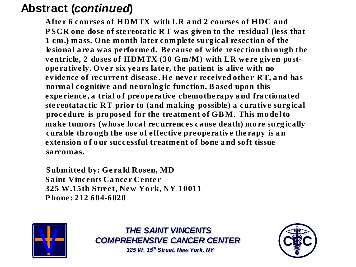### **Abstract (***continued***)**

**Afte r 6 courses of HDMTX with LR a nd 2 courses of HDC and P SCR one dose of ste reotatic R T was given to the residual (less that 1 cm.) mass. One month later com plete surg ical resection of the lesional a rea was performe d. Because of wide resection thro ugh the** ventricle, 2 doses of HDMTX (30 Gm/M) with LR were given post**ope rative ly. Ove r six yea rs late r, the patient is alive with no** evidence of recurrent disease. He never received other RT, and has **norma l cognitive and ne urolog ic function. B ased upon this expe rience , a trial o f preoperative chemothe rapy a nd fractionated ste reotatactic RT prior to (and making possible) a curative surg ical procedure is proposed for the treatment of GB M. This mo de l to make tumors (whose loca l rec urrences cause death) mo re surg ically curable thro ugh the use of effective preoperative the rapy is a n extension o f o ur successful treatment of bone a nd soft tissue sarcomas.** 

**Submitted by: Ge ra ld Rosen, MD Sa int Vincents Ca nce r Cente r 325 W.15th Street, New Yo rk, NY 10011 P hone: 212 604-6020**



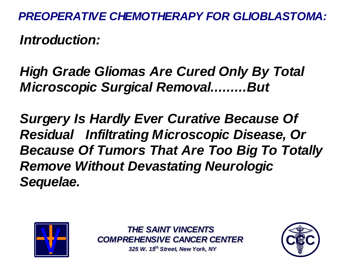*Introduction:*

## *High Grade Gliomas Are Cured Only By Total Microscopic Surgical Removal.........But*

*Surgery Is Hardly Ever Curative Because Of Residual Infiltrating Microscopic Disease, Or Because Of Tumors That Are Too Big To Totally Remove Without Devastating Neurologic Sequelae.*



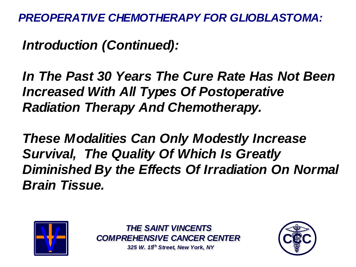*Introduction (Continued):*

*In The Past 30 Years The Cure Rate Has Not Been Increased With All Types Of Postoperative Radiation Therapy And Chemotherapy.*

*These Modalities Can Only Modestly Increase Survival, The Quality Of Which Is Greatly Diminished By the Effects Of Irradiation On Normal Brain Tissue.*



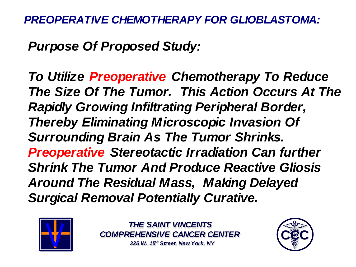*Purpose Of Proposed Study:*

*To Utilize Preoperative Chemotherapy To Reduce The Size Of The Tumor. This Action Occurs At The Rapidly Growing Infiltrating Peripheral Border, Thereby Eliminating Microscopic Invasion Of Surrounding Brain As The Tumor Shrinks. Preoperative Stereotactic Irradiation Can further Shrink The Tumor And Produce Reactive Gliosis Around The Residual Mass, Making Delayed Surgical Removal Potentially Curative.*



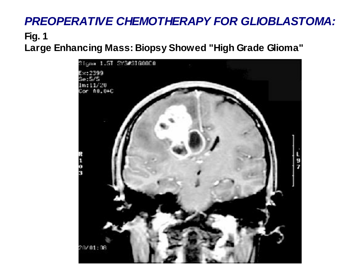#### **Fig. 1**

**Large Enhancing Mass: Biopsy Showed "High Grade Glioma"**

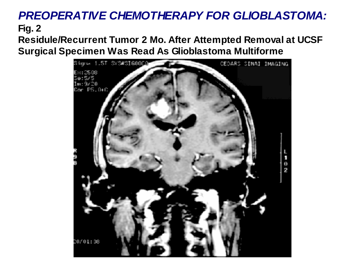**Residule/Recurrent Tumor 2 Mo. After Attempted Removal at UCSF Surgical Specimen Was Read As Glioblastoma Multiforme**

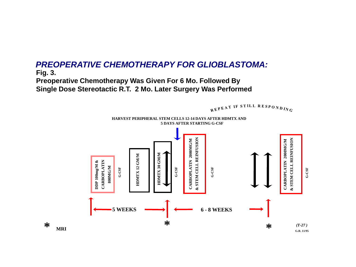**Preoperative Chemotherapy Was Given For 6 Mo. Followed By Single Dose Stereotactic R.T. 2 Mo. Later Surgery Was Performed**



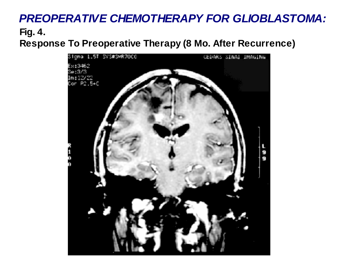**Fig. 4. Response To Preoperative Therapy (8 Mo. After Recurrence)**

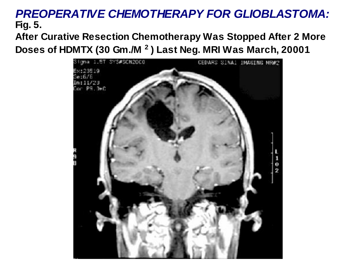**After Curative Resection Chemotherapy Was Stopped After 2 More Doses of HDMTX (30 Gm./M <sup>2</sup> ) Last Neg. MRI Was March, 20001**

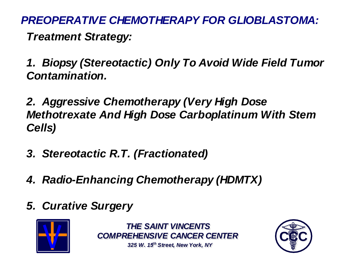*PREOPERATIVE CHEMOTHERAPY FOR GLIOBLASTOMA: Treatment Strategy:*

*1. Biopsy (Stereotactic) Only To Avoid Wide Field Tumor Contamination.*

*2. Aggressive Chemotherapy (Very High Dose Methotrexate And High Dose Carboplatinum With Stem Cells)*

- *3. Stereotactic R.T. (Fractionated)*
- *4. Radio-Enhancing Chemotherapy (HDMTX)*
- *5. Curative Surgery*



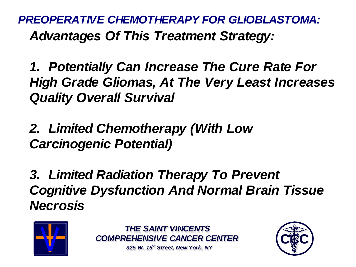*PREOPERATIVE CHEMOTHERAPY FOR GLIOBLASTOMA: Advantages Of This Treatment Strategy:*

*1. Potentially Can Increase The Cure Rate For High Grade Gliomas, At The Very Least Increases Quality Overall Survival*

*2. Limited Chemotherapy (With Low Carcinogenic Potential)*

*3. Limited Radiation Therapy To Prevent Cognitive Dysfunction And Normal Brain Tissue Necrosis*



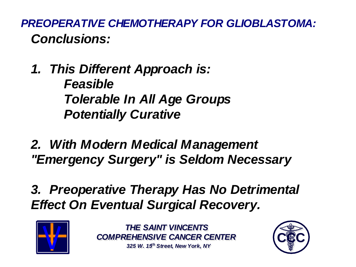*PREOPERATIVE CHEMOTHERAPY FOR GLIOBLASTOMA: Conclusions:*

- *1. This Different Approach is: Feasible Tolerable In All Age Groups Potentially Curative*
- *2. With Modern Medical Management "Emergency Surgery" is Seldom Necessary*
- *3. Preoperative Therapy Has No Detrimental Effect On Eventual Surgical Recovery.*